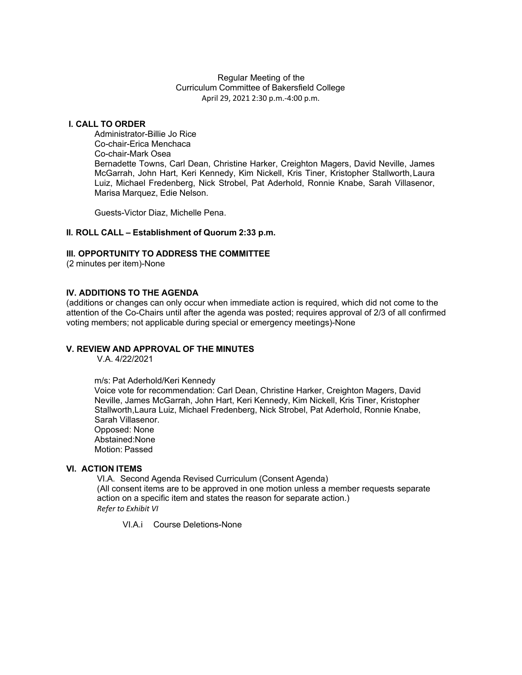#### Regular Meeting of the Curriculum Committee of Bakersfield College April 29, 2021 2:30 p.m.-4:00 p.m.

### **I. CALL TO ORDER**

Administrator-Billie Jo Rice Co-chair-Erica Menchaca Co-chair-Mark Osea Bernadette Towns, Carl Dean, Christine Harker, Creighton Magers, David Neville, James McGarrah, John Hart, Keri Kennedy, Kim Nickell, Kris Tiner, Kristopher Stallworth,Laura Luiz, Michael Fredenberg, Nick Strobel, Pat Aderhold, Ronnie Knabe, Sarah Villasenor, Marisa Marquez, Edie Nelson.

Guests-Victor Diaz, Michelle Pena.

#### **II. ROLL CALL – Establishment of Quorum 2:33 p.m.**

#### **III. OPPORTUNITY TO ADDRESS THE COMMITTEE**

(2 minutes per item)-None

### **IV. ADDITIONS TO THE AGENDA**

(additions or changes can only occur when immediate action is required, which did not come to the attention of the Co-Chairs until after the agenda was posted; requires approval of 2/3 of all confirmed voting members; not applicable during special or emergency meetings)-None

#### **V. REVIEW AND APPROVAL OF THE MINUTES**

V.A. 4/22/2021

m/s: Pat Aderhold/Keri Kennedy

Voice vote for recommendation: Carl Dean, Christine Harker, Creighton Magers, David Neville, James McGarrah, John Hart, Keri Kennedy, Kim Nickell, Kris Tiner, Kristopher Stallworth,Laura Luiz, Michael Fredenberg, Nick Strobel, Pat Aderhold, Ronnie Knabe, Sarah Villasenor. Opposed: None Abstained:None Motion: Passed

### **VI. ACTION ITEMS**

VI.A. Second Agenda Revised Curriculum (Consent Agenda) (All consent items are to be approved in one motion unless a member requests separate action on a specific item and states the reason for separate action.) *Refer to Exhibit VI*

VI.A.i Course Deletions-None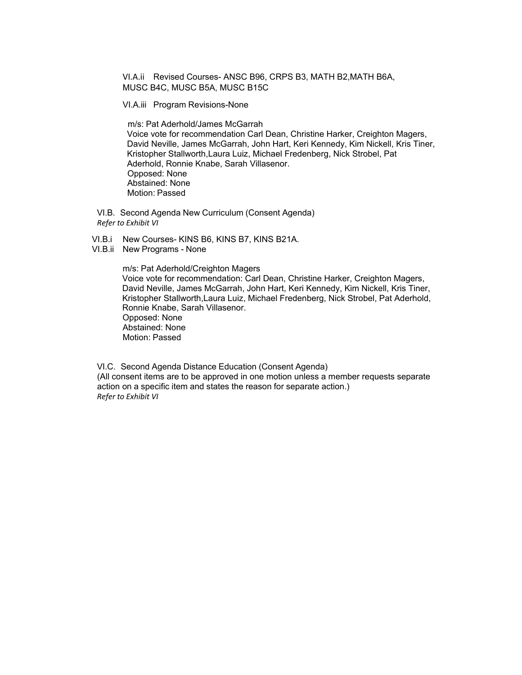VI.A.ii Revised Courses- ANSC B96, CRPS B3, MATH B2,MATH B6A, MUSC B4C, MUSC B5A, MUSC B15C

VI.A.iii Program Revisions-None

m/s: Pat Aderhold/James McGarrah Voice vote for recommendation Carl Dean, Christine Harker, Creighton Magers, David Neville, James McGarrah, John Hart, Keri Kennedy, Kim Nickell, Kris Tiner, Kristopher Stallworth,Laura Luiz, Michael Fredenberg, Nick Strobel, Pat Aderhold, Ronnie Knabe, Sarah Villasenor. Opposed: None Abstained: None Motion: Passed

VI.B. Second Agenda New Curriculum (Consent Agenda) *Refer to Exhibit VI*

- VI.B.i New Courses- KINS B6, KINS B7, KINS B21A.
- VI.B.ii New Programs None

m/s: Pat Aderhold/Creighton Magers Voice vote for recommendation: Carl Dean, Christine Harker, Creighton Magers, David Neville, James McGarrah, John Hart, Keri Kennedy, Kim Nickell, Kris Tiner, Kristopher Stallworth,Laura Luiz, Michael Fredenberg, Nick Strobel, Pat Aderhold, Ronnie Knabe, Sarah Villasenor. Opposed: None Abstained: None Motion: Passed

VI.C. Second Agenda Distance Education (Consent Agenda) (All consent items are to be approved in one motion unless a member requests separate action on a specific item and states the reason for separate action.) *Refer to Exhibit VI*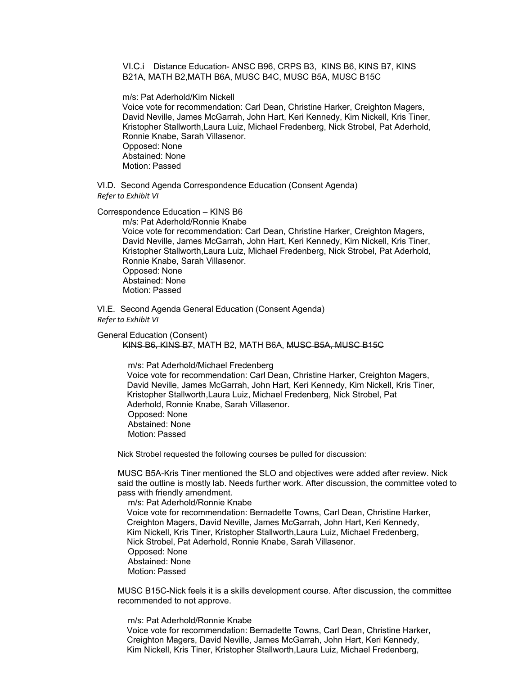VI.C.i Distance Education- ANSC B96, CRPS B3, KINS B6, KINS B7, KINS B21A, MATH B2,MATH B6A, MUSC B4C, MUSC B5A, MUSC B15C

m/s: Pat Aderhold/Kim Nickell

 Voice vote for recommendation: Carl Dean, Christine Harker, Creighton Magers, David Neville, James McGarrah, John Hart, Keri Kennedy, Kim Nickell, Kris Tiner, Kristopher Stallworth,Laura Luiz, Michael Fredenberg, Nick Strobel, Pat Aderhold, Ronnie Knabe, Sarah Villasenor. Opposed: None Abstained: None Motion: Passed

VI.D. Second Agenda Correspondence Education (Consent Agenda) *Refer to Exhibit VI*

Correspondence Education – KINS B6

m/s: Pat Aderhold/Ronnie Knabe

 Voice vote for recommendation: Carl Dean, Christine Harker, Creighton Magers, David Neville, James McGarrah, John Hart, Keri Kennedy, Kim Nickell, Kris Tiner, Kristopher Stallworth,Laura Luiz, Michael Fredenberg, Nick Strobel, Pat Aderhold, Ronnie Knabe, Sarah Villasenor. Opposed: None Abstained: None Motion: Passed

VI.E. Second Agenda General Education (Consent Agenda) *Refer to Exhibit VI*

General Education (Consent) KINS B6, KINS B7, MATH B2, MATH B6A, MUSC B5A, MUSC B15C

> m/s: Pat Aderhold/Michael Fredenberg Voice vote for recommendation: Carl Dean, Christine Harker, Creighton Magers, David Neville, James McGarrah, John Hart, Keri Kennedy, Kim Nickell, Kris Tiner, Kristopher Stallworth,Laura Luiz, Michael Fredenberg, Nick Strobel, Pat Aderhold, Ronnie Knabe, Sarah Villasenor. Opposed: None Abstained: None Motion: Passed

Nick Strobel requested the following courses be pulled for discussion:

MUSC B5A-Kris Tiner mentioned the SLO and objectives were added after review. Nick said the outline is mostly lab. Needs further work. After discussion, the committee voted to pass with friendly amendment.

m/s: Pat Aderhold/Ronnie Knabe Voice vote for recommendation: Bernadette Towns, Carl Dean, Christine Harker, Creighton Magers, David Neville, James McGarrah, John Hart, Keri Kennedy, Kim Nickell, Kris Tiner, Kristopher Stallworth,Laura Luiz, Michael Fredenberg, Nick Strobel, Pat Aderhold, Ronnie Knabe, Sarah Villasenor. Opposed: None Abstained: None Motion: Passed

 MUSC B15C-Nick feels it is a skills development course. After discussion, the committee recommended to not approve.

m/s: Pat Aderhold/Ronnie Knabe Voice vote for recommendation: Bernadette Towns, Carl Dean, Christine Harker, Creighton Magers, David Neville, James McGarrah, John Hart, Keri Kennedy, Kim Nickell, Kris Tiner, Kristopher Stallworth,Laura Luiz, Michael Fredenberg,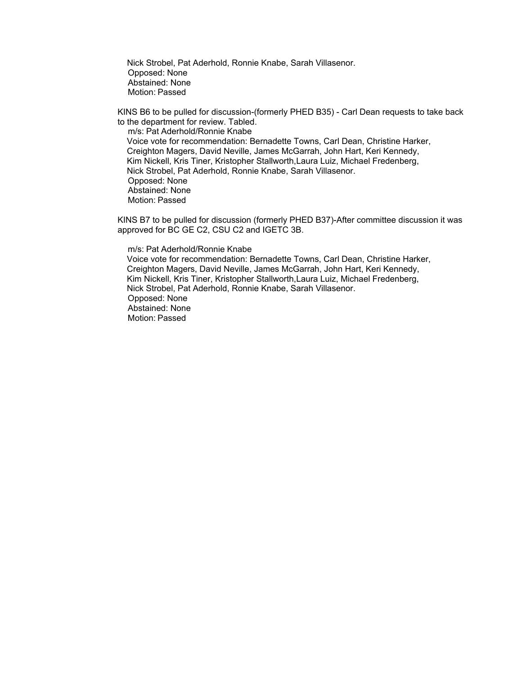Nick Strobel, Pat Aderhold, Ronnie Knabe, Sarah Villasenor. Opposed: None Abstained: None Motion: Passed

KINS B6 to be pulled for discussion-(formerly PHED B35) - Carl Dean requests to take back to the department for review. Tabled.

m/s: Pat Aderhold/Ronnie Knabe Voice vote for recommendation: Bernadette Towns, Carl Dean, Christine Harker, Creighton Magers, David Neville, James McGarrah, John Hart, Keri Kennedy, Kim Nickell, Kris Tiner, Kristopher Stallworth,Laura Luiz, Michael Fredenberg, Nick Strobel, Pat Aderhold, Ronnie Knabe, Sarah Villasenor. Opposed: None Abstained: None Motion: Passed

KINS B7 to be pulled for discussion (formerly PHED B37)-After committee discussion it was approved for BC GE C2, CSU C2 and IGETC 3B.

m/s: Pat Aderhold/Ronnie Knabe Voice vote for recommendation: Bernadette Towns, Carl Dean, Christine Harker, Creighton Magers, David Neville, James McGarrah, John Hart, Keri Kennedy, Kim Nickell, Kris Tiner, Kristopher Stallworth,Laura Luiz, Michael Fredenberg, Nick Strobel, Pat Aderhold, Ronnie Knabe, Sarah Villasenor. Opposed: None Abstained: None Motion: Passed